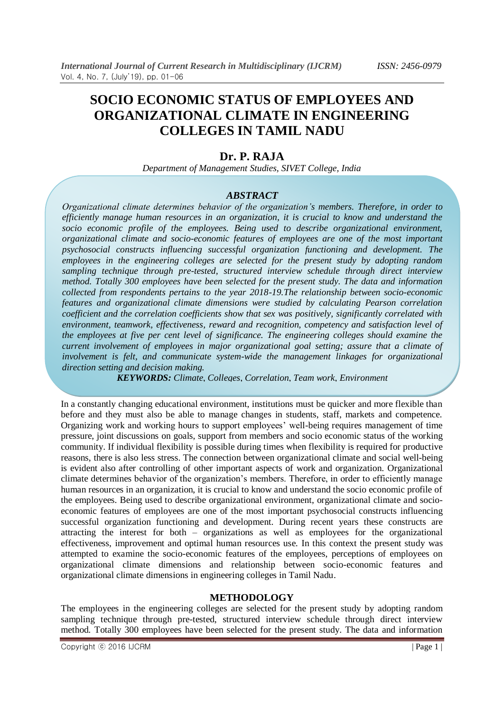# **SOCIO ECONOMIC STATUS OF EMPLOYEES AND ORGANIZATIONAL CLIMATE IN ENGINEERING COLLEGES IN TAMIL NADU**

## **Dr. P. RAJA**

*Department of Management Studies, SIVET College, India*

## *ABSTRACT*

*Organizational climate determines behavior of the organization's members. Therefore, in order to efficiently manage human resources in an organization, it is crucial to know and understand the socio economic profile of the employees. Being used to describe organizational environment, organizational climate and socio-economic features of employees are one of the most important psychosocial constructs influencing successful organization functioning and development. The employees in the engineering colleges are selected for the present study by adopting random sampling technique through pre-tested, structured interview schedule through direct interview method. Totally 300 employees have been selected for the present study. The data and information collected from respondents pertains to the year 2018-19.The relationship between socio-economic features and organizational climate dimensions were studied by calculating Pearson correlation coefficient and the correlation coefficients show that sex was positively, significantly correlated with environment, teamwork, effectiveness, reward and recognition, competency and satisfaction level of the employees at five per cent level of significance. The engineering colleges should examine the current involvement of employees in major organizational goal setting; assure that a climate of involvement is felt, and communicate system-wide the management linkages for organizational direction setting and decision making.*

*KEYWORDS: Climate, Colleges, Correlation, Team work, Environment*

In a constantly changing educational environment, institutions must be quicker and more flexible than before and they must also be able to manage changes in students, staff, markets and competence. Organizing work and working hours to support employees" well-being requires management of time pressure, joint discussions on goals, support from members and socio economic status of the working community. If individual flexibility is possible during times when flexibility is required for productive reasons, there is also less stress. The connection between organizational climate and social well-being is evident also after controlling of other important aspects of work and organization. Organizational climate determines behavior of the organization"s members. Therefore, in order to efficiently manage human resources in an organization, it is crucial to know and understand the socio economic profile of the employees. Being used to describe organizational environment, organizational climate and socioeconomic features of employees are one of the most important psychosocial constructs influencing successful organization functioning and development. During recent years these constructs are attracting the interest for both – organizations as well as employees for the organizational effectiveness, improvement and optimal human resources use. In this context the present study was attempted to examine the socio-economic features of the employees, perceptions of employees on organizational climate dimensions and relationship between socio-economic features and organizational climate dimensions in engineering colleges in Tamil Nadu.

## **METHODOLOGY**

The employees in the engineering colleges are selected for the present study by adopting random sampling technique through pre-tested, structured interview schedule through direct interview method. Totally 300 employees have been selected for the present study. The data and information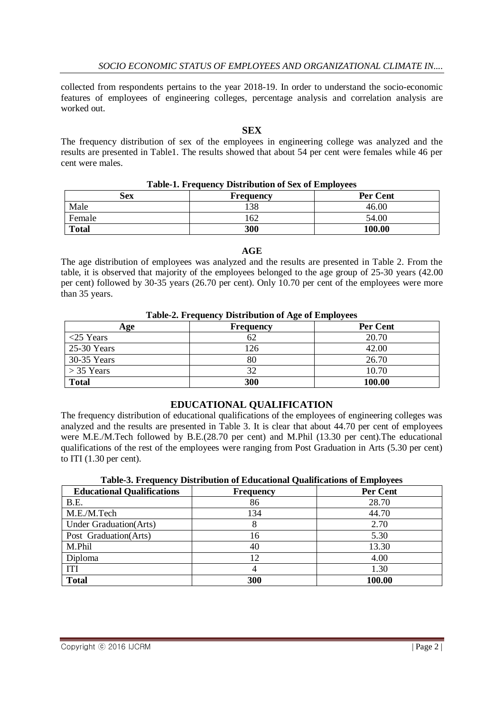collected from respondents pertains to the year 2018-19. In order to understand the socio-economic features of employees of engineering colleges, percentage analysis and correlation analysis are worked out.

#### **SEX**

The frequency distribution of sex of the employees in engineering college was analyzed and the results are presented in Table1. The results showed that about 54 per cent were females while 46 per cent were males.

| Table-1. Frequency Distribution of Sex of Employees |                  |                 |
|-----------------------------------------------------|------------------|-----------------|
| Sex                                                 | <b>Frequency</b> | <b>Per Cent</b> |
| Male                                                | 38               | 46.00           |
| Female                                              | .62              | 54.00           |
| <b>Total</b>                                        | 300              | 100.00          |

#### **Table-1. Frequency Distribution of Sex of Employees**

#### **AGE**

The age distribution of employees was analyzed and the results are presented in Table 2. From the table, it is observed that majority of the employees belonged to the age group of 25-30 years (42.00 per cent) followed by 30-35 years (26.70 per cent). Only 10.70 per cent of the employees were more than 35 years.

#### **Table-2. Frequency Distribution of Age of Employees**

| Age          | <b>Frequency</b> | Per Cent |
|--------------|------------------|----------|
| $<$ 25 Years |                  | 20.70    |
| 25-30 Years  | !26              | 42.00    |
| 30-35 Years  |                  | 26.70    |
| $>$ 35 Years |                  | 10.70    |
| <b>Total</b> | 300              | 100.00   |

## **EDUCATIONAL QUALIFICATION**

The frequency distribution of educational qualifications of the employees of engineering colleges was analyzed and the results are presented in Table 3. It is clear that about 44.70 per cent of employees were M.E./M.Tech followed by B.E.(28.70 per cent) and M.Phil (13.30 per cent).The educational qualifications of the rest of the employees were ranging from Post Graduation in Arts (5.30 per cent) to ITI (1.30 per cent).

| <b>Educational Qualifications</b> | <b>Frequency</b> | Per Cent |
|-----------------------------------|------------------|----------|
| B.E.                              | 86               | 28.70    |
| M.E./M.Tech                       | 134              | 44.70    |
| <b>Under Graduation</b> (Arts)    |                  | 2.70     |
| Post Graduation(Arts)             | 16               | 5.30     |
| M.Phil                            | 40               | 13.30    |
| Diploma                           | 12               | 4.00     |
| <b>ITI</b>                        |                  | 1.30     |
| <b>Total</b>                      | 300              | 100.00   |

#### **Table-3. Frequency Distribution of Educational Qualifications of Employees**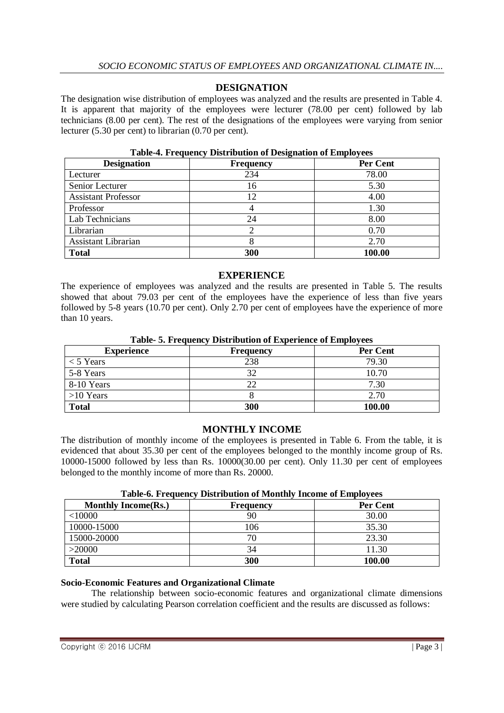## **DESIGNATION**

The designation wise distribution of employees was analyzed and the results are presented in Table 4. It is apparent that majority of the employees were lecturer (78.00 per cent) followed by lab technicians (8.00 per cent). The rest of the designations of the employees were varying from senior lecturer (5.30 per cent) to librarian (0.70 per cent).

| <b>Designation</b>         | <b>Frequency</b> | Per Cent |
|----------------------------|------------------|----------|
| Lecturer                   | 234              | 78.00    |
| Senior Lecturer            | 16               | 5.30     |
| <b>Assistant Professor</b> | 12               | 4.00     |
| Professor                  |                  | 1.30     |
| Lab Technicians            | 24               | 8.00     |
| Librarian                  |                  | 0.70     |
| <b>Assistant Librarian</b> |                  | 2.70     |
| <b>Total</b>               | 300              | 100.00   |

#### **Table-4. Frequency Distribution of Designation of Employees**

#### **EXPERIENCE**

The experience of employees was analyzed and the results are presented in Table 5. The results showed that about 79.03 per cent of the employees have the experience of less than five years followed by 5-8 years (10.70 per cent). Only 2.70 per cent of employees have the experience of more than 10 years.

#### **Table- 5. Frequency Distribution of Experience of Employees**

| <b>Experience</b> | <b>Frequency</b> | Per Cent |
|-------------------|------------------|----------|
| $<$ 5 Years       | 238              | 79.30    |
| 5-8 Years         | 32               | 10.70    |
| 8-10 Years        |                  | 7.30     |
| $>10$ Years       |                  | 2.70     |
| <b>Total</b>      | 300              | 100.00   |

## **MONTHLY INCOME**

The distribution of monthly income of the employees is presented in Table 6. From the table, it is evidenced that about 35.30 per cent of the employees belonged to the monthly income group of Rs. 10000-15000 followed by less than Rs. 10000(30.00 per cent). Only 11.30 per cent of employees belonged to the monthly income of more than Rs. 20000.

| Twore of ITequency Distribution of Monthly Income of Employees |                  |          |
|----------------------------------------------------------------|------------------|----------|
| <b>Monthly Income(Rs.)</b>                                     | <b>Frequency</b> | Per Cent |
| $<$ 10000                                                      |                  | 30.00    |
| 10000-15000                                                    | 106              | 35.30    |
| 15000-20000                                                    | 70               | 23.30    |
| >20000                                                         | 34               | 11.30    |
| <b>Total</b>                                                   | 300              | 100.00   |

#### **Table-6. Frequency Distribution of Monthly Income of Employees**

#### **Socio-Economic Features and Organizational Climate**

The relationship between socio-economic features and organizational climate dimensions were studied by calculating Pearson correlation coefficient and the results are discussed as follows: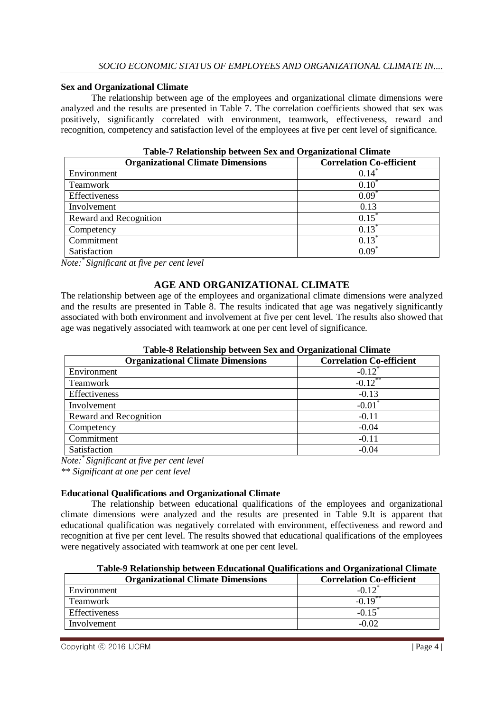#### **Sex and Organizational Climate**

The relationship between age of the employees and organizational climate dimensions were analyzed and the results are presented in Table 7. The correlation coefficients showed that sex was positively, significantly correlated with environment, teamwork, effectiveness, reward and recognition, competency and satisfaction level of the employees at five per cent level of significance.

| <b>Organizational Climate Dimensions</b> | <b>Correlation Co-efficient</b> |
|------------------------------------------|---------------------------------|
| Environment                              | 0.14                            |
| <b>Teamwork</b>                          | $0.10^{7}$                      |
| Effectiveness                            | $0.09*$                         |
| Involvement                              | 0.13                            |
| Reward and Recognition                   | $0.15^{\degree}$                |
| Competency                               | $0.13^{\degree}$                |
| Commitment                               | $0.13*$                         |
| Satisfaction                             | 0.09                            |

**Table-7 Relationship between Sex and Organizational Climate** 

*Note:\* Significant at five per cent level*

## **AGE AND ORGANIZATIONAL CLIMATE**

The relationship between age of the employees and organizational climate dimensions were analyzed and the results are presented in Table 8. The results indicated that age was negatively significantly associated with both environment and involvement at five per cent level. The results also showed that age was negatively associated with teamwork at one per cent level of significance.

| Table-o Relationship between Sex and Organizational Chinate |                                 |  |
|-------------------------------------------------------------|---------------------------------|--|
| <b>Organizational Climate Dimensions</b>                    | <b>Correlation Co-efficient</b> |  |
| Environment                                                 | $-0.12^*$                       |  |
| Teamwork                                                    | $-0.12$ **                      |  |
| Effectiveness                                               | $-0.13$                         |  |
| Involvement                                                 | $-0.01$                         |  |
| Reward and Recognition                                      | $-0.11$                         |  |
| Competency                                                  | $-0.04$                         |  |
| Commitment                                                  | $-0.11$                         |  |
| Satisfaction                                                | $-0.04$                         |  |

# **Table-8 Relationship between Sex and Organizational Climate**

*Note:\* Significant at five per cent level \*\* Significant at one per cent level*

## **Educational Qualifications and Organizational Climate**

The relationship between educational qualifications of the employees and organizational climate dimensions were analyzed and the results are presented in Table 9.It is apparent that educational qualification was negatively correlated with environment, effectiveness and reword and recognition at five per cent level. The results showed that educational qualifications of the employees were negatively associated with teamwork at one per cent level.

| <b>Organizational Climate Dimensions</b> | <b>Correlation Co-efficient</b> |
|------------------------------------------|---------------------------------|
| Environment                              |                                 |
| <b>Teamwork</b>                          | $* *$                           |
| <b>Effectiveness</b>                     |                                 |
| Involvement                              |                                 |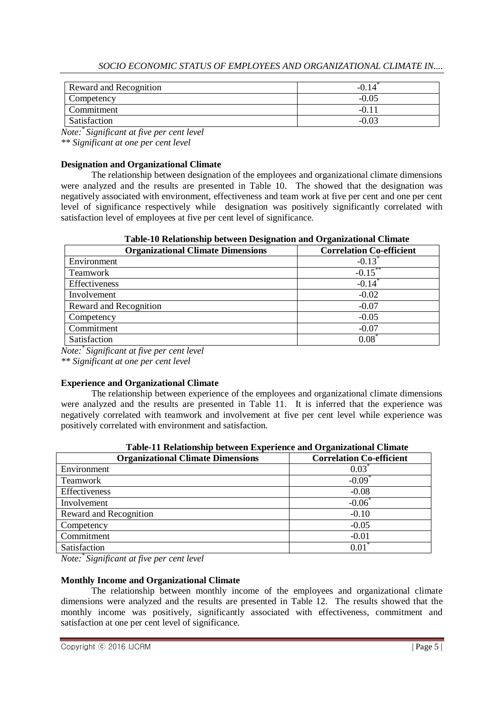*Note:\* Significant at five per cent level \*\* Significant at one per cent level*

## **Designation and Organizational Climate**

The relationship between designation of the employees and organizational climate dimensions were analyzed and the results are presented in Table 10. The showed that the designation was negatively associated with environment, effectiveness and team work at five per cent and one per cent level of significance respectively while designation was positively significantly correlated with satisfaction level of employees at five per cent level of significance.

### **Table-10 Relationship between Designation and Organizational Climate**

| $\sim$ which is a converted and any $\sim$ with wear is entered and when $\sim$ a generator contract $\sim$ |                                 |  |
|-------------------------------------------------------------------------------------------------------------|---------------------------------|--|
| <b>Organizational Climate Dimensions</b>                                                                    | <b>Correlation Co-efficient</b> |  |
| Environment                                                                                                 | $-0.13$                         |  |
| Teamwork                                                                                                    | $-0.15$ **                      |  |
| Effectiveness                                                                                               | $-0.14$                         |  |
| Involvement                                                                                                 | $-0.02$                         |  |
| Reward and Recognition                                                                                      | $-0.07$                         |  |
| Competency                                                                                                  | $-0.05$                         |  |
| Commitment                                                                                                  | $-0.07$                         |  |
| Satisfaction                                                                                                | $0.08^*$                        |  |

*Note:\* Significant at five per cent level*

*\*\* Significant at one per cent level*

## **Experience and Organizational Climate**

The relationship between experience of the employees and organizational climate dimensions were analyzed and the results are presented in Table 11. It is inferred that the experience was negatively correlated with teamwork and involvement at five per cent level while experience was positively correlated with environment and satisfaction.

| <b>Organizational Climate Dimensions</b> | <b>Correlation Co-efficient</b> |  |  |  |
|------------------------------------------|---------------------------------|--|--|--|
| Environment                              | $0.03^*$                        |  |  |  |
| Teamwork                                 | $-0.09^{\degree}$               |  |  |  |
| Effectiveness                            | $-0.08$                         |  |  |  |
| Involvement                              | $-0.06$                         |  |  |  |
| Reward and Recognition                   | $-0.10$                         |  |  |  |
| Competency                               | $-0.05$                         |  |  |  |
| Commitment                               | $-0.01$                         |  |  |  |
| Satisfaction                             | 0.01                            |  |  |  |

| Table-11 Relationship between Experience and Organizational Climate |  |  |  |
|---------------------------------------------------------------------|--|--|--|
|                                                                     |  |  |  |

*Note:\* Significant at five per cent level*

#### **Monthly Income and Organizational Climate**

The relationship between monthly income of the employees and organizational climate dimensions were analyzed and the results are presented in Table 12. The results showed that the monthly income was positively, significantly associated with effectiveness, commitment and satisfaction at one per cent level of significance.